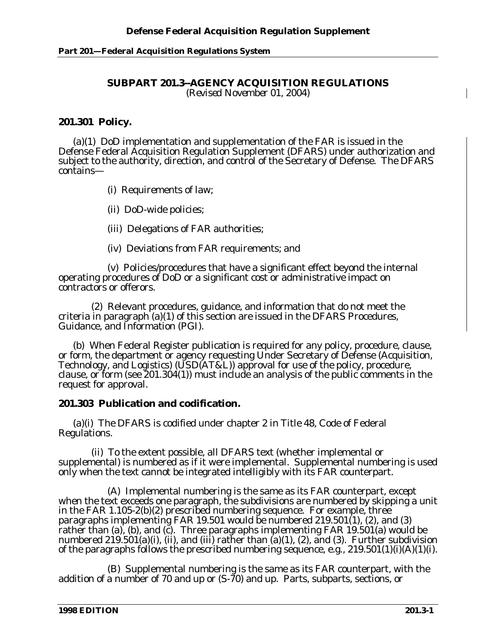# **Part 201—Federal Acquisition Regulations System**

#### **SUBPART 201.3--AGENCY ACQUISITION REGULATIONS** *(Revised November 01, 2004)*

# **201.301 Policy.**

(a)(1) DoD implementation and supplementation of the FAR is issued in the Defense Federal Acquisition Regulation Supplement (DFARS) under authorization and subject to the authority, direction, and control of the Secretary of Defense. The DFARS contains—

(i) Requirements of law;

(ii) DoD-wide policies;

(iii) Delegations of FAR authorities;

(iv) Deviations from FAR requirements; and

(v) Policies/procedures that have a significant effect beyond the internal operating procedures of DoD or a significant cost or administrative impact on contractors or offerors.

(2) Relevant procedures, guidance, and information that do not meet the criteria in paragraph (a)(1) of this section are issued in the DFARS Procedures, Guidance, and Information (PGI).

(b)When Federal Register publication is required for any policy, procedure, clause, or form, the department or agency requesting Under Secretary of Defense (Acquisition, Technology, and Logistics) (USD(AT&L)) approval for use of the policy, procedure, clause, or form (see 201.304(1)) must include an analysis of the public comments in the request for approval.

### **201.303 Publication and codification.**

(a)(i) The DFARS is codified under chapter 2 in Title 48, Code of Federal Regulations.

(ii) To the extent possible, all DFARS text (whether implemental or supplemental) is numbered as if it were implemental. Supplemental numbering is used only when the text cannot be integrated intelligibly with its FAR counterpart.

(A) Implemental numbering is the same as its FAR counterpart, except when the text exceeds one paragraph, the subdivisions are numbered by skipping a unit in the FAR 1.105-2(b)(2) prescribed numbering sequence. For example, three paragraphs implementing FAR 19.501 would be numbered 219.501(1), (2), and (3) rather than (a), (b), and (c). Three paragraphs implementing FAR  $19.501(a)$  would be numbered  $219.501(a)(i)$ , (ii), and (iii) rather than  $(a)(1)$ , (2), and (3). Further subdivision of the paragraphs follows the prescribed numbering sequence, e.g., 219.501(1)(i)(A*)(1)(i).*

(B) Supplemental numbering is the same as its FAR counterpart, with the addition of a number of 70 and up or (S-70) and up. Parts, subparts, sections, or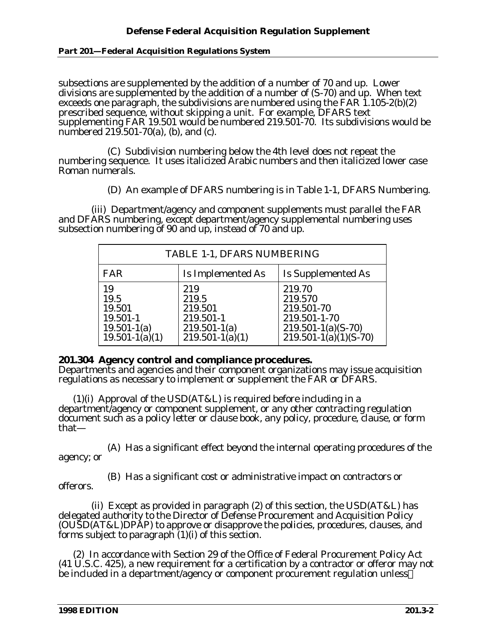### **Part 201—Federal Acquisition Regulations System**

subsections are supplemented by the addition of a number of 70 and up. Lower divisions are supplemented by the addition of a number of (S-70) and up. When text exceeds one paragraph, the subdivisions are numbered using the FAR  $1.105-2(b)(2)$ prescribed sequence, without skipping a unit. For example, DFARS text supplementing FAR 19.501 would be numbered 219.501-70. Its subdivisions would be numbered 219.501-70(a), (b), and (c).

(C) Subdivision numbering below the 4th level does not repeat the numbering sequence. It uses italicized Arabic numbers and then italicized lower case Roman numerals.

(D) An example of DFARS numbering is in Table 1-1, DFARS Numbering.

(iii) Department/agency and component supplements must parallel the FAR and DFARS numbering, except department/agency supplemental numbering uses subsection numbering of 90 and up, instead of 70 and up.

| TABLE 1-1, DFARS NUMBERING                                                |                                                                                 |                                                                                                        |
|---------------------------------------------------------------------------|---------------------------------------------------------------------------------|--------------------------------------------------------------------------------------------------------|
| <b>FAR</b>                                                                | Is Implemented As                                                               | Is Supplemented As                                                                                     |
| 19<br>19.5<br>19.501<br>19.501-1<br>$19.501 - 1(a)$<br>$19.501 - 1(a)(1)$ | 219<br>219.5<br>219.501<br>219.501-1<br>$219.501 - 1(a)$<br>$219.501 - 1(a)(1)$ | 219.70<br>219.570<br>219.501-70<br>219.501-1-70<br>$219.501 - 1(a)(S-70)$<br>$219.501 - 1(a)(1)(S-70)$ |

# **201.304 Agency control and compliance procedures.**

Departments and agencies and their component organizations may issue acquisition regulations as necessary to implement or supplement the FAR or DFARS.

(1)(i) Approval of the USD(AT&L) is required before including in a department/agency or component supplement, or any other contracting regulation document such as a policy letter or clause book, any policy, procedure, clause, or form that—

(A) Has a significant effect beyond the internal operating procedures of the agency; or

(B) Has a significant cost or administrative impact on contractors or offerors.

(ii) Except as provided in paragraph (2) of this section, the USD(AT&L) has delegated authority to the Director of Defense Procurement and Acquisition Policy (OUSD(AT&L)DPAP) to approve or disapprove the policies, procedures, clauses, and forms subject to paragraph (1)(i) of this section.

(2) In accordance with Section 29 of the Office of Federal Procurement Policy Act (41 U.S.C. 425), a new requirement for a certification by a contractor or offeror may not be included in a department/agency or component procurement regulation unless—